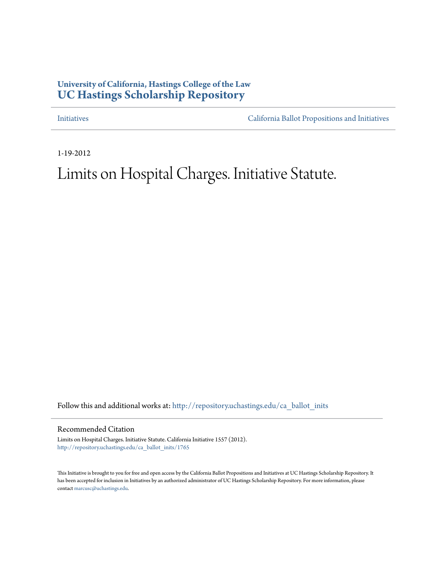# **University of California, Hastings College of the Law [UC Hastings Scholarship Repository](http://repository.uchastings.edu?utm_source=repository.uchastings.edu%2Fca_ballot_inits%2F1765&utm_medium=PDF&utm_campaign=PDFCoverPages)**

[Initiatives](http://repository.uchastings.edu/ca_ballot_inits?utm_source=repository.uchastings.edu%2Fca_ballot_inits%2F1765&utm_medium=PDF&utm_campaign=PDFCoverPages) [California Ballot Propositions and Initiatives](http://repository.uchastings.edu/ca_ballots?utm_source=repository.uchastings.edu%2Fca_ballot_inits%2F1765&utm_medium=PDF&utm_campaign=PDFCoverPages)

1-19-2012

# Limits on Hospital Charges. Initiative Statute.

Follow this and additional works at: [http://repository.uchastings.edu/ca\\_ballot\\_inits](http://repository.uchastings.edu/ca_ballot_inits?utm_source=repository.uchastings.edu%2Fca_ballot_inits%2F1765&utm_medium=PDF&utm_campaign=PDFCoverPages)

#### Recommended Citation

Limits on Hospital Charges. Initiative Statute. California Initiative 1557 (2012). [http://repository.uchastings.edu/ca\\_ballot\\_inits/1765](http://repository.uchastings.edu/ca_ballot_inits/1765?utm_source=repository.uchastings.edu%2Fca_ballot_inits%2F1765&utm_medium=PDF&utm_campaign=PDFCoverPages)

This Initiative is brought to you for free and open access by the California Ballot Propositions and Initiatives at UC Hastings Scholarship Repository. It has been accepted for inclusion in Initiatives by an authorized administrator of UC Hastings Scholarship Repository. For more information, please contact [marcusc@uchastings.edu](mailto:marcusc@uchastings.edu).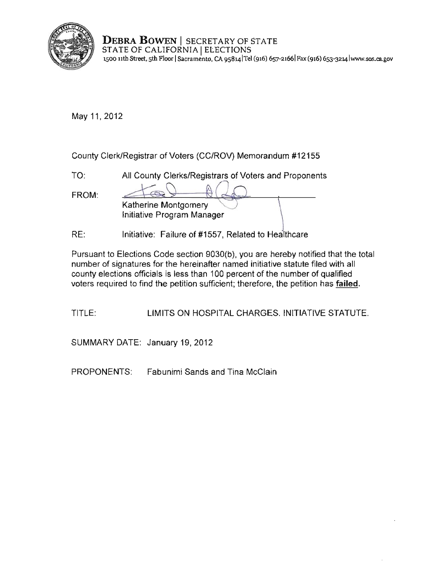

**DEBRA BOWEN** I SECRETARY OF STATE STATE OF CALIFORNIA | ELECTIONS **l500 nth Street, sth Floor ISacramento. CA 9S8141Tel (916) 657-21661Fax (916) 6S3-:3214 lwww.sos.ca.gov** 

May 11, 2012

County Clerk/Registrar of Voters (CC/ROV) Memorandum #12155

| TO: | All County Clerks/Registrars of Voters and Proponents |
|-----|-------------------------------------------------------|
|     |                                                       |

| <b>FROM:</b> |                                                    |  |
|--------------|----------------------------------------------------|--|
|              | Katherine Montgomery<br>Initiative Program Manager |  |

RE: Initiative: Failure of #1557, Related to Healthcare

Pursuant to Elections Code section 9030(b), you are hereby notified that the total number of signatures for the hereinafter named initiative statute filed with all county elections officials is less than 100 percent of the number of qualified voters required to find the petition sufficient; therefore, the petition has failed,

TITLE: LIMITS ON HOSPITAL CHARGES. INITIATIVE STATUTE.

SUMMARY DATE: January 19, 2012

PROPONENTS: Fabunimi Sands and Tina McClain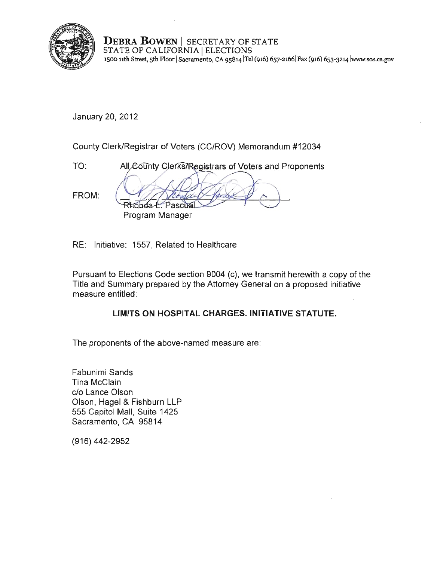

**DEBRA BOWEN** I SECRETARY OF STATE STATE OF CALIFORNIA | ELECTIONS **1500 11th Street, 5th HOOT ISacramento. CA 9s8141Tei (916) 657-21661 Fax (916) 653-:3214lwww.sos.ca.gov** 

January 20, 2012

County Clerk/Registrar of Voters (CC/ROV) Memorandum #12034

| TO:   | All County Clerks/Registrars of Voters and Proponents |
|-------|-------------------------------------------------------|
| FROM: | Pascua<br>Program Manager                             |

RE: Initiative: 1557, Related to Healthcare

Pursuant to Elections Code section 9004 (c), we transmit herewith a copy of the Title and Summary prepared by the Attorney General on a proposed initiative measure entitled:

# LIMITS **ON** HOSPITAL CHARGES. INITIATIVE STATUTE.

The proponents of the above-named measure are:

Fabunimi Sands Tina McClain c/o Lance Olson Olson, Hagel & Fishburn **LLP**  555 Capitol Mall, Suite 1425 Sacramento, CA 95814

(916) 442-2952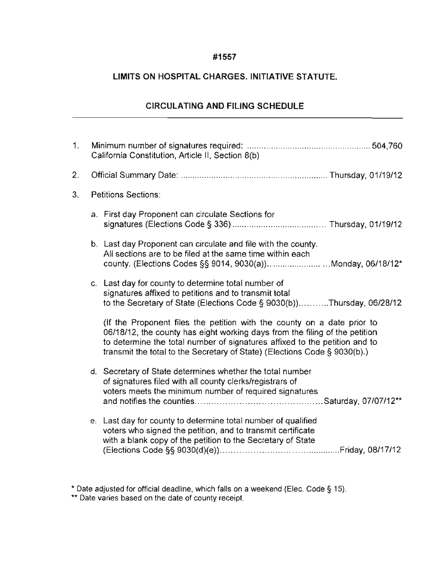## **#1557**

# **LIMITS ON HOSPITAL CHARGES. INITIATIVE STATUTE.**

# **CIRCULATING AND FILING SCHEDULE**

| 1. |                            | California Constitution, Article II, Section 8(b)                                                                                                                                                                                                                                                                 |  |
|----|----------------------------|-------------------------------------------------------------------------------------------------------------------------------------------------------------------------------------------------------------------------------------------------------------------------------------------------------------------|--|
| 2. |                            |                                                                                                                                                                                                                                                                                                                   |  |
| 3. | <b>Petitions Sections:</b> |                                                                                                                                                                                                                                                                                                                   |  |
|    |                            | a. First day Proponent can circulate Sections for                                                                                                                                                                                                                                                                 |  |
|    |                            | b. Last day Proponent can circulate and file with the county.<br>All sections are to be filed at the same time within each                                                                                                                                                                                        |  |
|    |                            | c. Last day for county to determine total number of<br>signatures affixed to petitions and to transmit total<br>to the Secretary of State (Elections Code § 9030(b))Thursday, 06/28/12                                                                                                                            |  |
|    |                            | (If the Proponent files the petition with the county on a date prior to<br>06/18/12, the county has eight working days from the filing of the petition<br>to determine the total number of signatures affixed to the petition and to<br>transmit the total to the Secretary of State) (Elections Code § 9030(b).) |  |
|    |                            | d. Secretary of State determines whether the total number<br>of signatures filed with all county clerks/registrars of<br>voters meets the minimum number of required signatures                                                                                                                                   |  |
|    |                            | e. Last day for county to determine total number of qualified<br>voters who signed the petition, and to transmit certificate<br>with a blank copy of the petition to the Secretary of State                                                                                                                       |  |

<sup>\*</sup> Date adjusted for official deadline, which falls on a weekend (Elec. Code § 15).

**<sup>\*\*</sup> Date varies based on the date of county receipt.**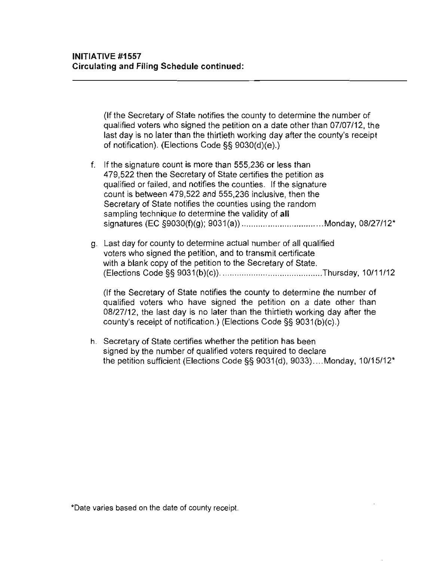(If the Secretary of State notifies the county to determine the number of qualified voters who signed the petition on a date other than *07107/12,* the last day is no later than the thirtieth working day after the county's receipt of notification). (Elections Code §§ 9030(d)(e).)

- f. If the signature count is more than 555,236 or less than 479,522 then the Secretary of State certifies the petition as qualified or failed, and notifies the counties. If the signature count is between 479,522 and 555,236 inclusive, then the Secretary of State notifies the counties using the random sampling technique to determine the validity of **all**  signatures (EC §9030(f)(g); 9031 (a)) .................................. Monday, *08/27112'*
- g. Last day for county to determine actual number of all qualified voters who signed the petition, and to transmit certificate with a blank copy of the petition to the Secretary of State. (Elections Code §§ 9031 (b)(c)) ........................................... Thursday, 10111112

(If the Secretary of State notifies the county to detenmine the number of qualified voters who have signed the petition on a date other than *08/27112,* the last day is no later than the thirtieth working day after the county's receipt of notification.) (Elections Code §§ 9031 (b)(c).)

h. Secretary of State certifies whether the petition has been signed by the number of qualified voters required to declare the petition sufficient (Elections Code §§ 9031(d), 9033)....Monday, 10/15/12\*

**<sup>\*</sup>Oate varies based on the date of county receipt.**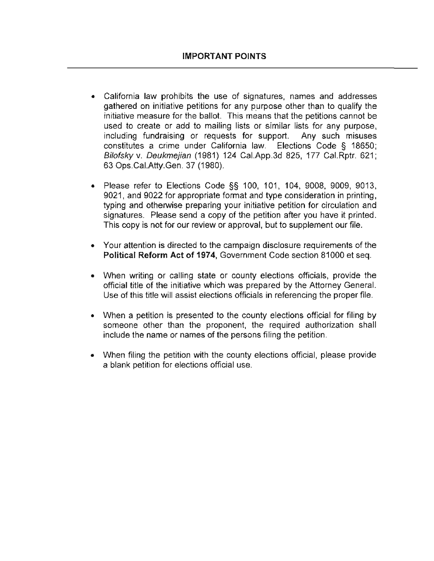- California law prohibits the use of signatures, names and addresses gathered on initiative petitions for any purpose other than to qualify the initiative measure for the ballot. This means that the petitions cannot be used to create or add to mailing lists or similar lists for any purpose, including fundraising or requests for support. Any such misuses constitutes a crime under California law. Elections Code § 18650; Bilofsky v. Deukmejian (1981) 124 Cal.App.3d 825, 177 Cal.Rptr. 621; 63 Ops.CaI.Atty.Gen. 37 (1980).
- Please refer to Elections Code §§ 100, 101, 104, 9008, 9009, 9013, 9021, and 9022 for appropriate format and type consideration in printing, typing and otherwise preparing your initiative petition for circulation and signatures. Please send a copy of the petition after you have it printed. This copy is not for our review or approval, but to supplement our file.
- **Your attention is directed to the campaign disclosure requirements of the Political Reform Act of 1974,** Government Code section 81000 et seq.
- When writing or calling state or county elections officials, provide the official title of the initiative which was prepared by the Attorney General. Use of this title will assist elections officials in referencing the proper file.
- When a petition is presented to the county elections official for filing by someone other than the proponent, the required authorization shall include the name or names of the persons filing the petition.
- When filing the petition with the county elections official, please provide a blank petition for elections official use.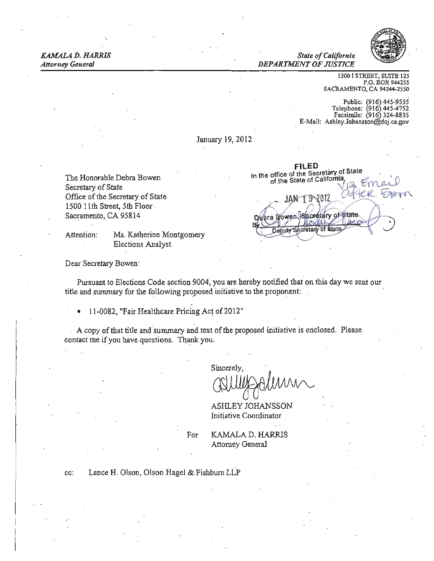

#### **KAMALA D. HARRIS** State of California *<i>DEPARTMENT OF JUSTICE*

**1300 I STREET, SUITE 125**  P.O. **BOX 944255 SACRAMENTo, tA** *94244-2550* 

!91j **Public: 445-9555 Telephone: 91 445-4752 Facsimile: 916 324-8835**  E-Mail: Ashley.Johansson@doj.ca.gov

January 19,2012

Secretary of State **Office of the Secretary of State** 1500 IIth Street, 5th Floor . Sacramento, CA 95814

**Attention: Ms. Katherine Montgomery Elections .Analyst** 

**FILED**  In the office of the Secretary of State<br>In the office of the Secretary of State<br>of the State of California  $-40$ Secretary of State owen Aculto **Secretary of State** 

**Dear Secretary Bowen:** 

**Pursuant to Elections Code section 9004, you are hereby notified that on this day we sent our title and summary for the following proposed initiative to the proponent:** 

11-0082, "Fair Healthcare Pricing Act of 2012"

**A copy ofthat title and 'summary and text ofthe proposed initiative is enclosed. Please**  contact me if you have questions. Thank you.

~~ JOHANSSON

ASHLEY JOHANSSON **Initiative Coordinator** 

For KAMALAD. HARRIS **Attorney General** 

cc: Lance H. Olson, Olson Hagel & Fishburn LLP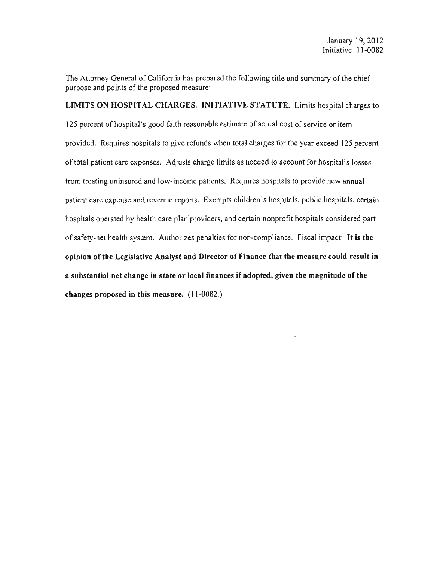The Attorney General of California has prepared the following title and summary of the chief purpose and points of the proposed measure:

LIMITS ON HOSPITAL CHARGES. INITIATIVE STATUTE. Limits hospital charges to 125 percent of hospital's good faith reasonable estimate of actual cost of service or item provided. Requires hospitals to give refunds when total charges for the year exceed 125 percent of total patient care expenses. Adjusts charge limits as needed to account for hospital's losses from treating uninsured and fow-income patients. Requires hospitals to provide new annual patient care expense and revenue reports. Exempts children's hospitals, public hospitals, certain hospitals operated by health care plan'providers, and certain nonprofit hospitals considered part of safety-net health system. Authorizes penalties for non-compliance. Fiscal impact: It is the opinion of the Legislative Analyst and Director of Finance that the measure could result in a substantial net change in state or local finances if adopted, given the magnitude of the changes proposed in this measure.  $(11-0082.)$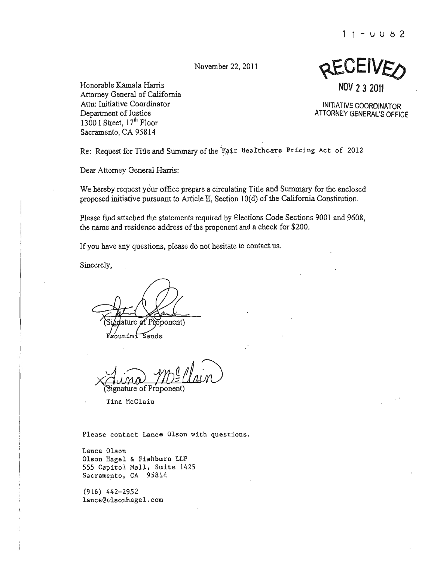November 22, 2011

Honorable Kamala Harris NOV 2 3 2011 Attorney General of California Attn: Initiative Coordinator **INITIATIVE COORDINATOR** Department of Justice AHORNEY GENERAL'S OFFICE 1300 I Street, 17<sup>th</sup> Floor Sacramento, CA 95814

Re: Request for Title and Summary of the Fair Healthcare Pricing Act of 2012

Dear Attorney General Harris:

We hereby request your office prepare a circulating Title and Summary for the enclosed proposed initiative pursuant to Article II, Section 10(d) of the California Constitution.

Please fmd attached the statements required by Elections Code Sections 9001 and 9608, the name and residence address of the proponent and a check for \$200.

If you have any questions, please do not hesitate to contact us.

Sincerely.

Sponent)

bunimi Sands

gnature of Proponent

Tina 'McClain

Please contact Lance Olson with questions.

Lance Olson Olson Hagel & Fishburn LLP 555 Capitol Mall. Suite 1425 Sacramento, CA 95814

(916) 442-2952 [lance@oisonhagel . com](mailto:lance@olsonhagel.com)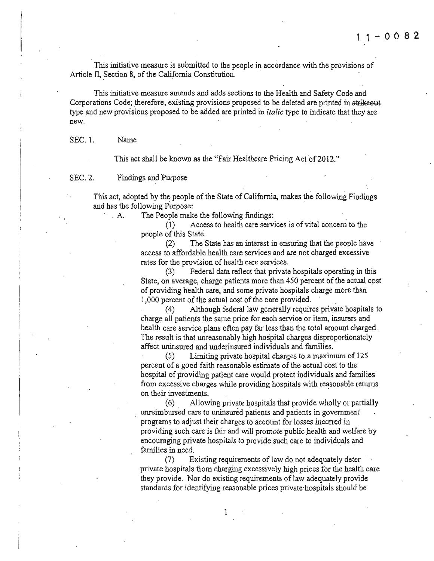This initiative measure is submitted to the people in accordance with the provisions of Article II, Section 8, of the California Constitution.

This initiative measure amends and adds sections to the Health and Safety Code and Corporations Code; therefore, existing provisions proposed to be deleted are printed in strikeout type and new provisions proposed to be added are printed in *italic* type to indicate that they are new.

SEC. 1. Name

This act shall be known as the "Fair Healthcare Pricing Act of 2012."

SEC. 2. Findings and Purpose

This act, adopted by the people of the State of California, makes the following Findings and has the following PUrpose:

A. The People make the following findings:

(1) Access to health care services is ofvital concern to the people of this State.

(2) The State has an interest in ensuring that the people have access to affordable health care services and are not charged excessive rates for the provision of health care services.

(3) Federal data reflect that private hospitals operating in this State, on average, charge patients more than 450 percent of the actual cost of providing health care, and some private hospitals charge more than 1,000 percent of the actual cost of the care provided.

(4) Although federal law generally requires private hospitals to charge all patients the same price for each service or item. insurers and health care service plans often pay far less than the total amount charged. The result is that unreasonably high hospital charges disproportionately affect uninsured and underinsured individuals and families.

(5) Limiting private hospital charges to a maximum of 125 percent of a good faith reasonable estimate of the actual cost to the hospital of providing patient care would protect individuals and families from excessive charges while providing hospitals with reasonable returns on their investments. .

(6) Allowing private hospitals that provide wholly or partially umeimbursed care to uninsured patients and patients in government programs to adjust their charges to account for losses incurred in providing such care is fair and will promote public health and welfare by encouraging private hospitals to provide such care to individuals and families in need.

(7) Existing requirements of law do not adequately deter private hospitals from charging excessively high prices for the health care they provide. Nor do existing requirements of law adequately provide standards for identifying reasonable prices private'hospitais should be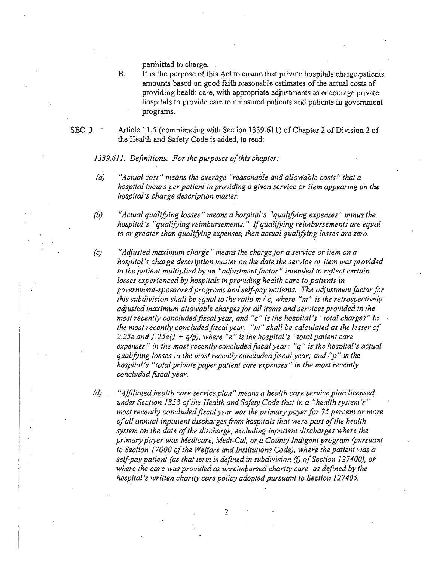permitted to charge.

- B. It is the purpose of this Act to ensure that private hospitals charge patients amounts based on good faith reasonable estimates of the actual costs of providing health care, with appropriate adjustments to encourage private liospitals to provide care to uninsured patients and patients in government programs.
- SEC. 3. Article 11.5 (commencing with Section 1339.611) of Chapter 2 of Division 2 of the Health and Safety Code is added, to read:
	- 1339.611. Definitions. For the purposes of this chapter:
	- (a) *"Actual cost" means the average "reasonable and allowable costs" that a hospital incurs per patient in providing a given service or item appearing on the hospital 's charge description master.*
	- *(b) "Actual qualifying losses" means a hospital's "qualifying expenses" minus the hospital's "qualifying reimbursements."* If*qualifying reimbursements are equal to or greater than qualifying expenses, then actual qualifying losses ore zero.*
	- *(c) "Adjusted maximum charge" means the charge/or a service or item on a hospital 's charge description master on the date the service or item was provided to the patient multiplied by an "adjustment factor" intended to reflect certain* losses experienced by hospitals in providing health care to patients in *government-sponsored programs and self-pay patients. The adjustment/actor for this subdivision shall be equal to the ratio m I c, where "m" is the retrospectively adjusted maximum allowable charges/or all items and services provided in the most recently concluded fiscal year, and "c" is the hospital 's "total charges " in the most recently concluded fiscal year. "m" shall be calculated as the lesser of 2.25e and 1.25e(1* + *q/p), where "e" is the hospital's "total patient care expenses" in the most recently concludedfiscal year; "q" is the hospital's actual qualifying losses in the most recently concludedfiscal year; and* ''p'' *is the hospital's "total private payer patient care expenses" in the most recently concluded fiscal year.*
	- (d) *"Affiliated health care service plan" means a health care service plan license4 under Section 1353 of the Health and Safety Code that in a "health system's" most recently concludedfiscal year was the primary payer for* 75 *percent or more*  of all annual inpatient discharges from hospitals that were part of the health system on the date of the discharge, excluding inpatient discharges where the *primary payer was Medicare, Medi-Cal, or, a County Indigent program (pursuant*  to Section 17000 of the Welfare and Institutions Code), where the patient was a *self-pay patient (as that term is defined in subdivision (f) of Section 127400), or where the care was provided as unreimbursed charity care, as defined by the hospital's written charity care policy adopted pursuant to Section 127405.*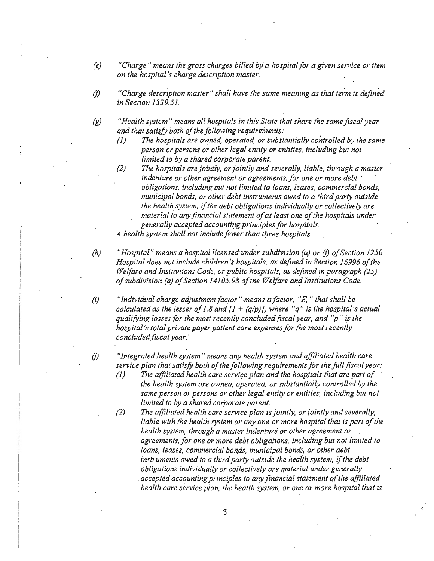- *(e) "Charge" means the gross charges billed bja hospital/or a given service or item on the hospital's charge description master.*
- (j) *"Charge description master" shall have the same meaning as that term is defined in Section 1339.51.*
- *(g) "Health* system'~ *means all hospitals in this State that share the same fiscal year and that satisfy both a/the following requirements:* 
	- *(1)* The hospitals are owned, operated, or substantially controlled by the same *person or persons or other legal entity or entities. including but not limited to by a shared corporate parent.*
	- *(2) The hospitals are jointly, or jointly and severally, liable, through a master indenture or other agreement or agreements, for one or more debt obligatiOns, including but not limited to loans, leases, commercial bonds, municipal bonds, or other debt instruments owed to a third party outside the health system,* if*the debt obligations individually or collectively are*  material to any financial statement of at least one of the hospitals under generally accepted accounting principles for hospitals.

A health system shall not include fewer than three hospitals.

- *(h) "Hospital''' means a hospital licensed under subdivision (a) or* (j) *ofSection* J*250. Hospital does not include children's hospitals, as defined in Section 16996 of the Welfare and Institutions Code, or public hospitals, as defined in paragraph (25) ojsubdivision (a) ojSection 14105.98 ojthe Welfare* and*lnstiiutions Code.*
- *(i) "Individual charge adjustment factor" means a factor,* "F," *that shall be calculated as the lesser oj1.8 and* [I + *(q/p)}, where "q" is the hospital's actual qualifying losses for the most recently concluded fiscal year, and "p" the. hospital's total private payer patient care expenses for Ihe most recently concluded fiscal year.'*

*(j) "Integrated health system" means any health system and affiliated health care*  service plan that satisfy both of the following requirements for the full fiscal year:

- *(1) The affiliated health care serviqe plan and the hospitals that are part of the health system are owned, operated, or substantially controlled by the*  same person or persons or other legal entity or entities, including but not *limited to by a shared corporate parent.*
- *(2)* The affiliated health care service plan is jointly, or jointly and severally, *liable with the health system or any one or more hospital that is part of the* health system, through a master indenture or other agreement or *agreements, for one or more debt obligations, including but not limited to*  loans, leases, commercial bonds, municipal bonds, or other debt instruments owed to a third party outside the health system, if the debt *obligations individually or collectively are material under. generally* accepted accounting principles to any financial statement of the affiliated *health care service plan, the health system, or one or more hospital that is*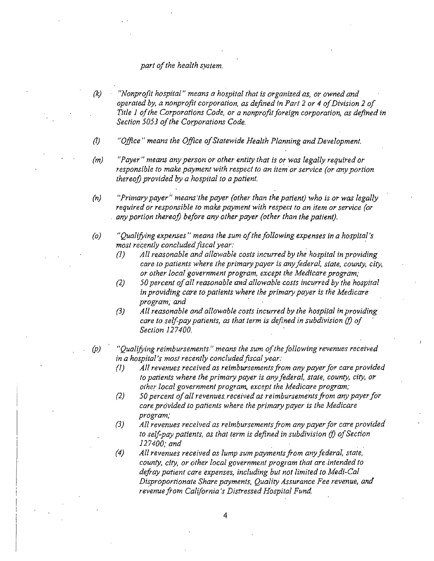#### part of the health system.

- *(k) "Nonprofit hospital" means a hospital that is organized as, or owned and operated by, a nonprofit corporation, as defined in Part* 2 *or* 4 *ofDivision* 2 *0/ Title* 1 *ofthe Corporations Code, or a nonprofit/oreign corporation, as defined in*  Section 5053 of the Corporations Code.
- *(1) "Office" means the Office ofStatewide Health Planning and Development.*
- *(m) "Payer" means any person or other entity that is or was legally required or responsible to make payment with respect to an item or service (or any portion thereof) provided by a hospital to a patient.*
- *(n) "Primary payer ;' means'fhe payer (other than the patient) who is or was legally required or responsible to make payment with respect to an item or service (or . any portion thereof) before any other payer (other than the patient).*
- *(0) "Qualifying expenses" means the sum ofthe follOWing expenses in a hospital's most recently concluded fiscal year:* 
	- *(1) All reasonable and allowable costs incurred by the hospital in prOViding care·to patients where the primary payer is any federal, state, county, city, or other local government program, except the Medicare program;*
	- *(2)* 50 percent of all reasonable and allowable costs incurred by the hospital *in prOViding care to patients where the primary payer is the Medicare program; and*
	- (3) All reasonable and allowable costs incurred by the hospital in providing *care to self-pay patients, as that term is defined in subdivision* (f) *of Section 127400.*
- *(P) "QualifYing reimbursements·" means the sum ofthe following revenues received*  in a hospital's most recently concluded fiscal year:
	- *(1) All revenues received as reimbursements from any payer for care provided to patients where the primary payer is any federal, state, county, city, or*  other local government program, except the Medicare program;
	- *(2) 50 percent ofall revenues. received as reimbursements from any payer for care provided to patients where the primary payer is the Medicare program;*
	- *(3) All revenues received as reimbursements from any payer for care provided' to self-pay patients, as that term is defined in subdivision (f) a/Section 127400; and*
	- *(4) All revenues received as lump sum payments from any federal, state, county, city, or other local government program that are.intended to defray patient care expenses, including but not limited to Medj-Cal Disproportionate Share payments. Quality Assurance Fee revenue, and revenue from California's Distressed Hospital Fund.*

 $\boldsymbol{\Lambda}$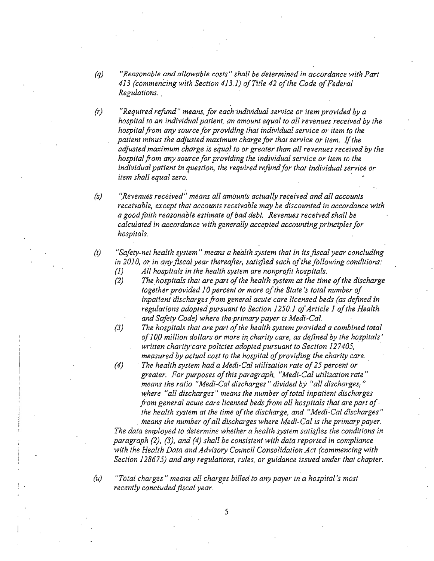- *(q) "Reasonable and allowable costs" shall be determined in accordance with Part 413 (commencing with Section* 413.1) *ofTitle* 42 *ofthe Code ofFederal Regulations . .*
- *(r) "Required refund" means, for each individual service or item provided by a hospital to an individual patient, an amount equal to all revenues 'received by the hospital from any source for providing that individual service or item to the patient minus the adjusted maximum charge for that service or item.* If*the adjusted maximum charge is equal to or greater than all revenues received by the hospital from any source for providing the individual service or item to the individual patient in question, the required refund for that individual service or item shall equal zero. .*
- *(s)* "Revenues received" means all amounts actually received and all accounts *receivable, except that accounts receivable may be discounted in accordance with a goodfaith reasonable estimate ofbad debt. Revenues received shall be calculated in accordance with generally accepted accounting principles for: hospitals.*
- *(t) "Saftty-net health system" means a health system that in its fiscal year concluding*  in 2010, or in any fiscal year thereafter, satisfied each of the following conditions:
	- *(1) All hospitals in the health syslem are nonprofit hospitals.*
	- *(2)* The *hospitals that are part of the health system at the time of the discharge* together provided 10 percent or more of the State's total number of *inpatient discharges from general acute' care licensed beds (as defined in*  regulations adopted pursuant to Section 1250.1 of Article 1 of the Health *and Safety Code/ where the primary payer is Medi-Cal.*
	- *(3)* The hospitals that are part of the health system provided a combined total *of10.0 million dollars or more in charity care, as defined by the hospitals' written charity· care policies adopted pursuant to Section 127405,* . . *measured by actual cost to the" hospital ofproviding the charity care.*
	- *(4) The health system had a Medl-Cal utilization rate of25 percent or greater. For purposes ofthis paragraph, "Medi-Cal utilization rate" means the ratio "Medi-Cal discharges" divided* by *"all discharges;* .. where "all discharges" means the number of total inpatient discharges *from general acute care licensed beds from all hospitals that are part of. the health system at the time ofthe discharge, and* "Medi~Cal *discharges" means the number ofall discharges where Medi-Cal is the primary payer.*

*The data employed to determine whether a health system satisfies the conditions in paragraph* (2). (3), *and* (4) *shall be consistent with dala reported in compliance*  with the Health Data and Advisory Council Consolidation Act (commencing with *Section* 128675) *and any regulations, rules, or guidance issued under that chapter.* 

*(u) "Total charges" means all charges billed to any payer in a hospital's most recently concluded fiscal year.*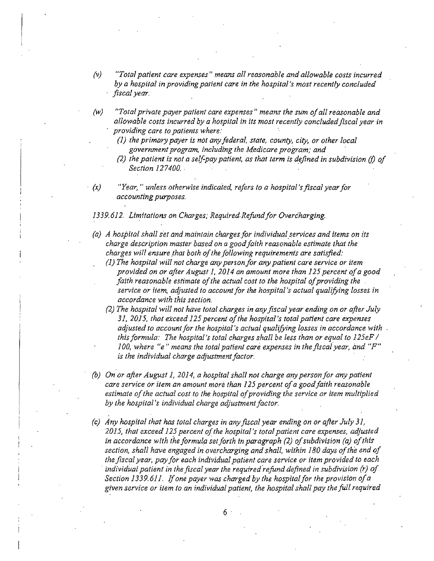- *(v) "Total patient care expenses" means all reasonable and allowable costs incurred bya hospital in providing patient care in the hospital's most recently concluded fiscal year.*
- *(w) "Total private payer patient care expenses" means the sum ofall reasonable and allowable costs incurred by a hospital in its most recently concluded fiscal year 'in providing care to patients where:* 
	- *(1) the primary payer is not anyfederal, state, county, city, or other local government program, including the Medicare program; and*
	- *(2) the patient is not a self-pay patient, as that term is defined in subdivision (f) 0/ Section 127400.* . .
- (x) "Year," unless otherwise indicated, refers to a hospital's fiscal year for *accounting purposes.*

## 1339.612. Limitations on Charges; Required Refund for Overcharging.

- (a) A hospital shall set and maintain charges for individual services and items on its *charge description master based on a good faith reasonable estimate that the* charges will ensure that both of the following requirements are satisfied:
	- *(1) The hospital will not charge any person/or any patient care service or item provided on or after August 1,2014 an amount more than* 125 *percent o/a go04 faith reasonable estimate of the actual cost to the hospital of providing the service or item, adjusted to account/or the hospital's actual qualifying losses in accordance with this section.*
	- *(2) The hospital will not have total charges in any fiscal year ending on or after July 31, 2015, that eXceed* 125 *percent ofthe hospital's total patient care expenses adjusted to account/or the hospital's actual qualifying losses in accordance with this formula: The hospital's total charges shall be less than or equal to 125eF /*  100, where "e" means the total patient care expenses in the fiscal year, and "F" *is the individual charge adjustment factor .*
- *. (b) On or after August 1,2014, a hospital shall not charge any person for any patient care service or item an amount more than* 125 *percent 0/a good/aith reasonable*  estimate of the actual cost to the hospital of providing the service or item multiplied by the hospital's individual charge adjustment factor.
- *(c) Any hospital that* has *total charges in any fiscal year ending on or after July 31,*  2015, that exceed 125 percent of the hospital's total patient care expenses, adjusted *in accordance with the formula set forth in paragraph (2) of subdivision (a) of this section, shall have engaged in overcharging and shall, within 180 days a/the end 0/ the fiscal year, pay for each individual patient care service or item provided to each individual patient in the fiscal year the required refund defined in subdivision (r) of* Section 1339.611. *If one payer was charged by the hospital for the provision of a given service or item to an individual patient, the hospital shall pay the full required*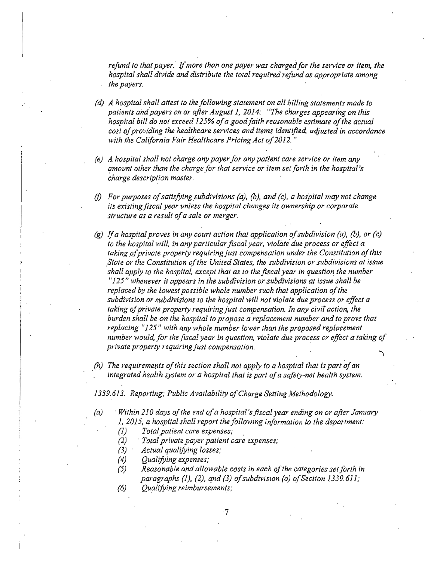refund to that payer. If more than one payer was charged for the service or item, the *hospital shall divide and distribute the total required refund as appropriate among the payers.* 

- (d) A hospital shall attest to the following statement on all billing statements made to *patients anipayers on or after August* 1, *2014: "The charges appearing on this hospital bill do not exceed* 125% *o/a goodfaith reasonable estimate o/the actual*  cost of providing the healthcare services and items identified, adjusted in accordance with the California Fair Healthcare Pricing Act of 2012."
- *(e) A hospital shall not charge any payer/or any patient care service or item any amount other than the charge for that service or item set forth in the hospital's charge description master.*
- *(f) For purposes ofsatisfying.subdivisions (a), (b), and (c), a hospital may not change its existing fiscal year unless the hospital changes its ownership or corporate structure as a result 0/a sale or merger. .*
- (g) If*a hospital proves in any court action that application ofsubdivision (a), (b), or (e)*  to the hospital will, in any particular fiscal year, violate due process or effect a *taking of private property requiring just compensation under the Constitution of this .State or the Constitution afthe United States, the subdivision or subdivisions at issue shall apply to the hospital, except that as to the fiscal year in question the number "125" whenever it appears in the subdivision or subdivisions at issue shalI be replaced by the lowest possible whole number such that application of the subdivision or subdivisions to the hospital will not violate due process or effect a*  taking of private property requiring just compensation. In any civil action, the *burden shalI be ·on the hospital to propose a replacement number and to prove that replacing* "125" *with any whole number lower than the proposed replacement number would, for the fzscal year in question, violate due process or effect a taking of private property requiringjust compensation.*
- *The requiremepts ofthis section shall not apply to a hospital that is part ofan*  integrated health system or a hospital that is part of a safety-net health system.

1339.613. Reporting; Public Availability of Charge Setting Methodology.

*(a)*  . *Within 210 days ofthe end ofa hospila['sfiscal year ending on or after January 1, 2015, a hospital shall report the following information to the department:* 

- *(1) Total patient care expenses;*
- (2) . *Total private payer patient care expenses;*
- *(3) Actual qualifying losses:*
- *(4) Qualifying expenses:*
- *(5) Reasonable and allowable costs in each ofthe categories set forth* in *paragraphs* (1), (2), *and* (3) *o/subdivision (0) o/Section 1339.611:*
- *(6) Qu.alifying reimbursements;*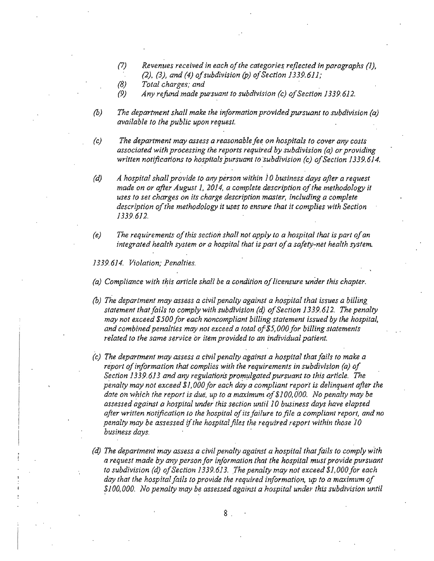- *(7) Revenues received* in *each ofthe categories. reflected in paragraphs (1),*  (2). (3). *and* (4) *o/subdivision* IP) *o/Section 1339.611;*
- *(8) Total charges; and .*
- *(9) Any refund made pursuant to subdivision (c) ofSection* 1339.612.
- *(b) The department shall make the information provided pursuant to subdivision (a) available to the public upon request.*
- (c) The department may assess a reasonable fee on hospitals to cover any costs *associated with processing the reports required by subdivision (a) or providing*  written notifications to hospitals pursuant to subdivision (c) of Section 1339.614.
- *(d) A hospital shall provide to any person within 10 business days after a request*  made on or after August 1, 2014, a complete description of the methodology it *uses to set charges* on *its charge description master, including a complete*  description of the methodology it uses to ensure that it complies with Section 1339.612.
- *(e) The requirements a/this section shall not apply to a hospital that is part ofan*  integrated health system or a hospital that is part of a safety-net health system.

*1339.614. Violation; Penalties.* 

- (a) Compliance with this article shall be a condition of licensure under this chapter.
- *(Q) The department may assess a civil penalty against a hospital that issues' a billing statement that fails to comply with subdivision (d) of Section 1339.612. The penalty may not exceed \$500 for each noncompliant billing statement issued by the hospital, and combined penalties may not exceed a total 0/\$5,000 for billing statements related to the same service or item provided to an individual patient.*
- *(c)* The department may assess a civil penalty against a hospital that fails to make a report of information that complies with the requirements in subdivision (a) of Section 1339.613 and any regulations promulgated pursuant to this article. The *penalty may not exceed* \$1, *000 for each day a compliant report is delinquent after the date on which the report is due, up to a maximum 0/\$100,0'00. No penalty may be assessed against a hospital under this section until 10 business days have elapsed*  after written notification to the hospital of its failure to file a compliant report, and no *penalty may be assessed* if*the hospitalfiles the required report within those 10 business days.*
- *(d) The department may assess a civil penalty against a hospital that fails to comply WIth a request made by any person for information that the hospital must provide pursuant to subdivision (dJ ofSection* 1339.613. *.The penalty may not exceed \$1,000for each day that the hospital fails to provide the required information, up to a maximum of*   $$100,000$ . No penalty may be assessed against a hospital under this subdivision until

8 .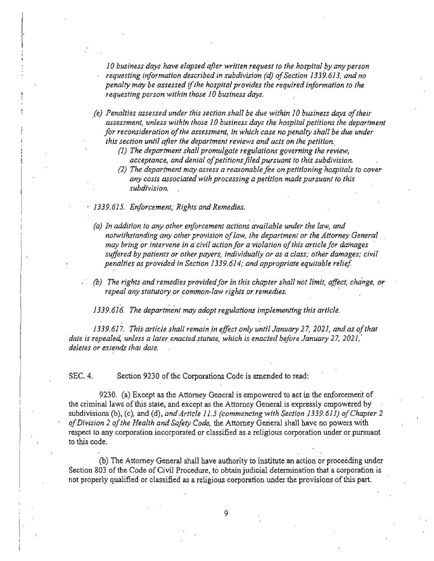*10 business days have elapsed after written request to the hospital by any person*  requesting information described in subdivision (d) of Section 1339.613, and no *penalty'may be assessed* if*the hospital provides the required information to the requesting person within those 10 business days.* 

*fe) Penalties assessed under this section shall be due within 10 business days oftheir assessment, unless within those 10 business days the hospital petitions the department*  for reconsideration of the assessment, in which case no penalty shall be due under *this section until after the department reviews and acts on the petition..* 

- *(1) The department shall promulgate regulations governing the review, acceptance, and denial ofpetitions filed pursuant to this subdivision.*
- *(2) 'The department may assess a reasonable fee on petitioning hospitals to cover*  any costs associated with processing a petition made pursuant to this *subdivision.*

*1339.615. Enforcement; Rights and Remedies.* 

*(a) In addition to any other enforcement actions' available under the law, and notwithstanding any other provision oflaw, the department or the Attorney General may bring or intervene in a civil action for a violation 0/this article for damages suffered by patients or other payers, individually or as a class; other damages; civil penalties as provided in Section* 1339.614; *and appropriate equitable relief* 

*(b) The rights and remedies provided for in this chapter shall not limit, affect, change, or* repeal any statutory or common-law rights or remedies.

1339.616. The department may adopt regulations implementing this article.

*1339.617. This- article shall remain.in effect ,only until January* 27, *2021, and as ofthat*  date is repealed, unless a later enacted statute, which is enacted before January 27, 2021, *deletes or extends that date.* 

SEC. 4. Section 9230 of the Corporations Code is amended to read:

9230. (a) Except as the Attorney General is empowered to act in the enforcemerit of the criminal laws of this state. and except as the Attorney General is expressly empowered by subdivisions (b). (c), and (d). *and Article* 11.5 *(commencing with Section 1339.611) a/Chapter 2 o/Division* 2 *ofthe Health and Safety Code,* the Attorney General shall have no powers with respect to any corporation incorporated or classified as a religious corporation under or pursuant to this code. .

(b) The Attorney General shall have authority to institute an action or proceeding under Section 803 of the Code of Civil Procedure, to obtain judicial determination that a corporation is not properly qualified or classified as a religious corporation under the provisions ofthis part.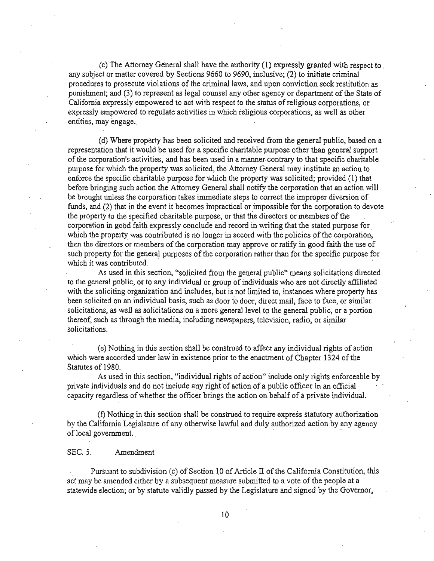(c) The Attorney General shall have the authority (I) expressly granted with respect to . any subject or matter covered by Sections 9660 to 9690. inclusive; (2) to initiate criminal procedures to prosecute violations of the criminal Jaws, and upon conviction seek restitution as punishment; and (3) to represent as legal counsel any other agency or department of the State of California expressly empowered to act with respect to the status of religious corporations, or expressly empowered to regulate activities in which religious corporations, as well as other entities, may engage.

(d) Where property has been solicited and received from the general public, based on a representation that it would be used for a 'specific charitable purpose other than general support of the corporation's activities, and has been used in a manner contrary to that specific charitable purpose for which the property was solicited, the Attorney General may institute an action to enforce the specific charitable purpose for which the property was solicited; provided (1) that before bringing such action the Attorney General shall notify the corporation that an action will be brought unless the corporation takes immediate steps to correct the improper diversion of funds, and (2) that in the event it becomes impractical or impossible for the corporation to devote the property to the specified charitable purppse, or that the directors or members of the corporation in good faith expressly conclude and record in writing that the stated purpose for . which the property was contributed is no longer in accord with the policies of the corporation, hen the directors or members of the corporation may approve or ratify in good faith the use of such property for the general purposes of the corporation rather than for the specific purpose for which it was contributed.

As used in this section, "solicited from the general public" means solicitatioris directed to the general public, or to any individual or group of individuals who are not directly affiliated with the soliciting organization and includes, but is not limited to, instances where property has been solicited on an individual basis, such as door to door, direct mail, face to face, or similar. solicitations, as well as solicitations on a more general level to the general public, or a portion thereof, such as through the media, including newspapers, television, radio, or similar solicitations. .

(e) Nothing in this section shall be construed to affect any individual rights of action which were accorded under law in existence prior to the enactment of Chapter 1324 of the Statutes of 1980.

As used in this section, "individual rights ofaction" include only rights enforceable by private individuals and do not include any right of action of a public officer in an official capacity regardless of whether the officer brings the action on behalf of a private individual.

(f) Nothing in this section shall be construed to require express statutory authorization by the California Legislature of any otherwise lawful and duly authorized action by any agency of local government.

#### SEC. 5. Amendment

. Pursuant to subdivision (c) of Section lO of Article II of the California Constitution, this act may be amended either by a subsequent measure submitted to a vote of the people at a statewide election; or by statute validly passed by the Legislature and signed by the Governor,